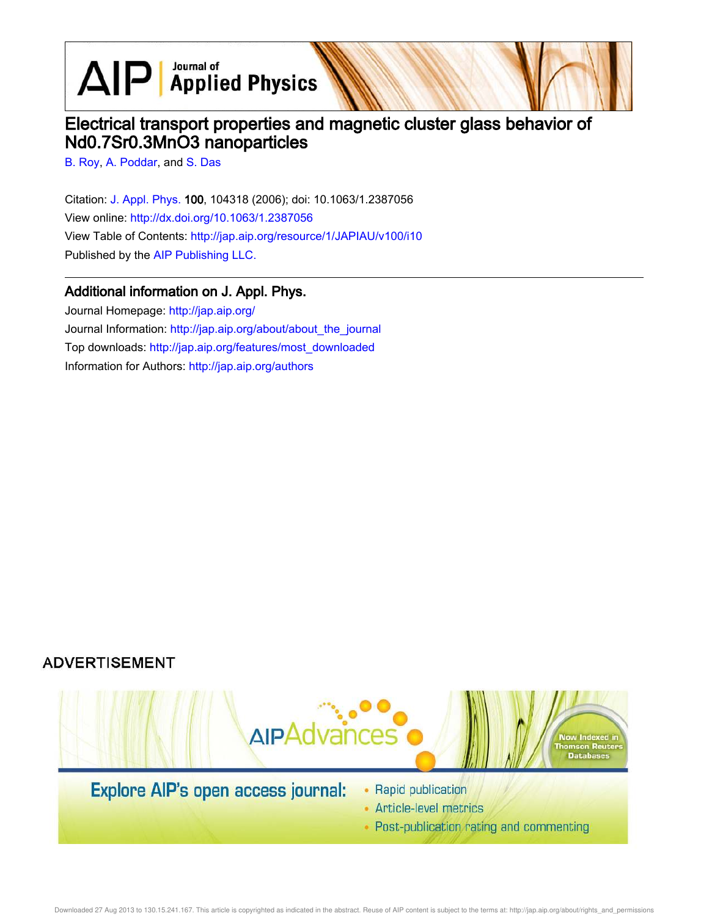$\text{AlP}$  Applied Physics

# Electrical transport properties and magnetic cluster glass behavior of Nd0.7Sr0.3MnO3 nanoparticles

B. Roy, A. Poddar, and S. Das

Citation: J. Appl. Phys. 100, 104318 (2006); doi: 10.1063/1.2387056 View online: http://dx.doi.org/10.1063/1.2387056 View Table of Contents: http://jap.aip.org/resource/1/JAPIAU/v100/i10 Published by the AIP Publishing LLC.

## Additional information on J. Appl. Phys.

Journal Homepage: http://jap.aip.org/ Journal Information: http://jap.aip.org/about/about\_the\_journal Top downloads: http://jap.aip.org/features/most\_downloaded Information for Authors: http://jap.aip.org/authors

## **ADVERTISEMENT**



• Post-publication rating and commenting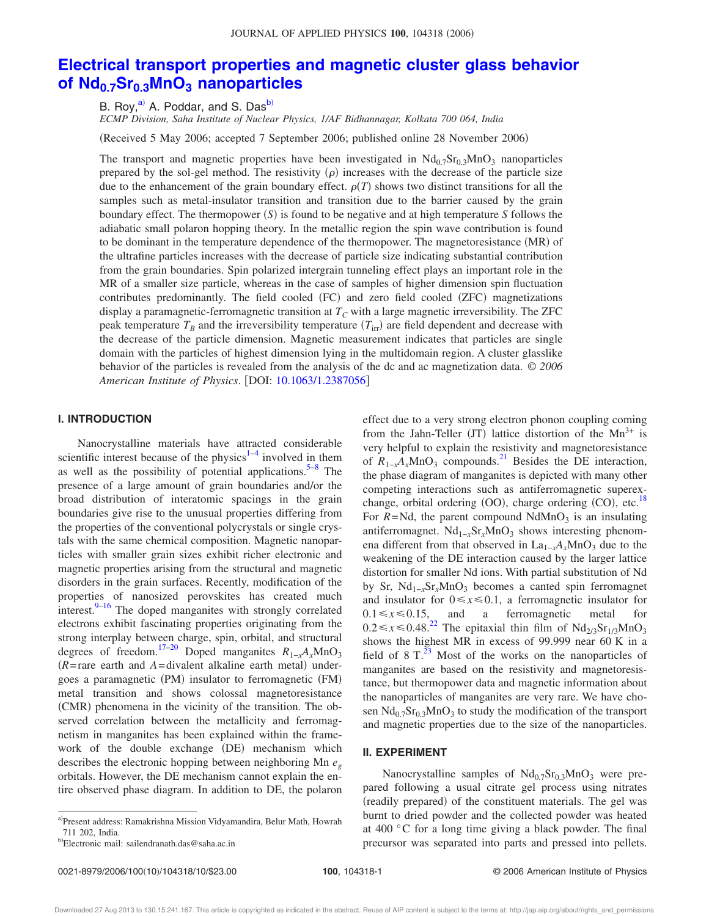## **Electrical transport properties and magnetic cluster glass behavior of Nd0.7Sr0.3MnO<sup>3</sup> nanoparticles**

B. Roy,<sup>a)</sup> A. Poddar, and S. Das<sup>b)</sup>

*ECMP Division, Saha Institute of Nuclear Physics, 1/AF Bidhannagar, Kolkata 700 064, India*

Received 5 May 2006; accepted 7 September 2006; published online 28 November 2006-

The transport and magnetic properties have been investigated in  $Nd<sub>0.7</sub>Sr<sub>0.3</sub>MnO<sub>3</sub>$  nanoparticles prepared by the sol-gel method. The resistivity  $(\rho)$  increases with the decrease of the particle size due to the enhancement of the grain boundary effect.  $\rho(T)$  shows two distinct transitions for all the samples such as metal-insulator transition and transition due to the barrier caused by the grain boundary effect. The thermopower  $(S)$  is found to be negative and at high temperature  $S$  follows the adiabatic small polaron hopping theory. In the metallic region the spin wave contribution is found to be dominant in the temperature dependence of the thermopower. The magnetoresistance (MR) of the ultrafine particles increases with the decrease of particle size indicating substantial contribution from the grain boundaries. Spin polarized intergrain tunneling effect plays an important role in the MR of a smaller size particle, whereas in the case of samples of higher dimension spin fluctuation contributes predominantly. The field cooled (FC) and zero field cooled (ZFC) magnetizations display a paramagnetic-ferromagnetic transition at *T<sup>C</sup>* with a large magnetic irreversibility. The ZFC peak temperature  $T_B$  and the irreversibility temperature  $(T_{irr})$  are field dependent and decrease with the decrease of the particle dimension. Magnetic measurement indicates that particles are single domain with the particles of highest dimension lying in the multidomain region. A cluster glasslike behavior of the particles is revealed from the analysis of the dc and ac magnetization data. © *2006 American Institute of Physics*. DOI: 10.1063/1.2387056

#### **I. INTRODUCTION**

Nanocrystalline materials have attracted considerable scientific interest because of the physics $1-4$  involved in them as well as the possibility of potential applications.<sup>5-8</sup> The presence of a large amount of grain boundaries and/or the broad distribution of interatomic spacings in the grain boundaries give rise to the unusual properties differing from the properties of the conventional polycrystals or single crystals with the same chemical composition. Magnetic nanoparticles with smaller grain sizes exhibit richer electronic and magnetic properties arising from the structural and magnetic disorders in the grain surfaces. Recently, modification of the properties of nanosized perovskites has created much interest. $9-16$  The doped manganites with strongly correlated electrons exhibit fascinating properties originating from the strong interplay between charge, spin, orbital, and structural degrees of freedom.<sup>17–20</sup> Doped manganites  $R_{1-x}A_xMnO_3$  $(R = \text{rare earth}$  and  $A = \text{divalent}$  alkaline earth metal) undergoes a paramagnetic (PM) insulator to ferromagnetic (FM) metal transition and shows colossal magnetoresistance (CMR) phenomena in the vicinity of the transition. The observed correlation between the metallicity and ferromagnetism in manganites has been explained within the framework of the double exchange (DE) mechanism which describes the electronic hopping between neighboring Mn *e<sup>g</sup>* orbitals. However, the DE mechanism cannot explain the entire observed phase diagram. In addition to DE, the polaron effect due to a very strong electron phonon coupling coming from the Jahn-Teller (JT) lattice distortion of the  $Mn^{3+}$  is very helpful to explain the resistivity and magnetoresistance of  $R_{1-x}A_xMnO_3$  compounds.<sup>21</sup> Besides the DE interaction, the phase diagram of manganites is depicted with many other competing interactions such as antiferromagnetic superexchange, orbital ordering (OO), charge ordering (CO), etc.<sup>18</sup> For  $R = Nd$ , the parent compound  $NdMnO<sub>3</sub>$  is an insulating antiferromagnet. Nd<sub>1-*x*</sub>Sr<sub>*x*</sub>MnO<sub>3</sub> shows interesting phenomena different from that observed in  $La_{1-x}A_xMnO_3$  due to the weakening of the DE interaction caused by the larger lattice distortion for smaller Nd ions. With partial substitution of Nd by Sr, Nd<sub>1−*x*</sub>Sr<sub>*x*</sub>MnO<sub>3</sub> becomes a canted spin ferromagnet and insulator for  $0 \le x \le 0.1$ , a ferromagnetic insulator for  $0.1 \le x \le 0.15$ , and a ferromagnetic metal for  $0.2 \le x \le 0.48$ .<sup>22</sup> The epitaxial thin film of  $\text{Nd}_{2/3}\text{Sr}_{1/3}\text{MnO}_3$ shows the highest MR in excess of 99.999 near 60 K in a field of  $8 T<sup>23</sup>$  Most of the works on the nanoparticles of manganites are based on the resistivity and magnetoresistance, but thermopower data and magnetic information about the nanoparticles of manganites are very rare. We have chosen  $Nd_{0.7}Sr_{0.3}MnO_3$  to study the modification of the transport and magnetic properties due to the size of the nanoparticles.

#### **II. EXPERIMENT**

Nanocrystalline samples of  $Nd_{0.7}Sr_{0.3}MnO_3$  were prepared following a usual citrate gel process using nitrates (readily prepared) of the constituent materials. The gel was burnt to dried powder and the collected powder was heated at 400 °C for a long time giving a black powder. The final precursor was separated into parts and pressed into pellets.

a)Present address: Ramakrishna Mission Vidyamandira, Belur Math, Howrah 711 202, India.

<sup>&</sup>lt;sup>b)</sup>Electronic mail: sailendranath.das@saha.ac.in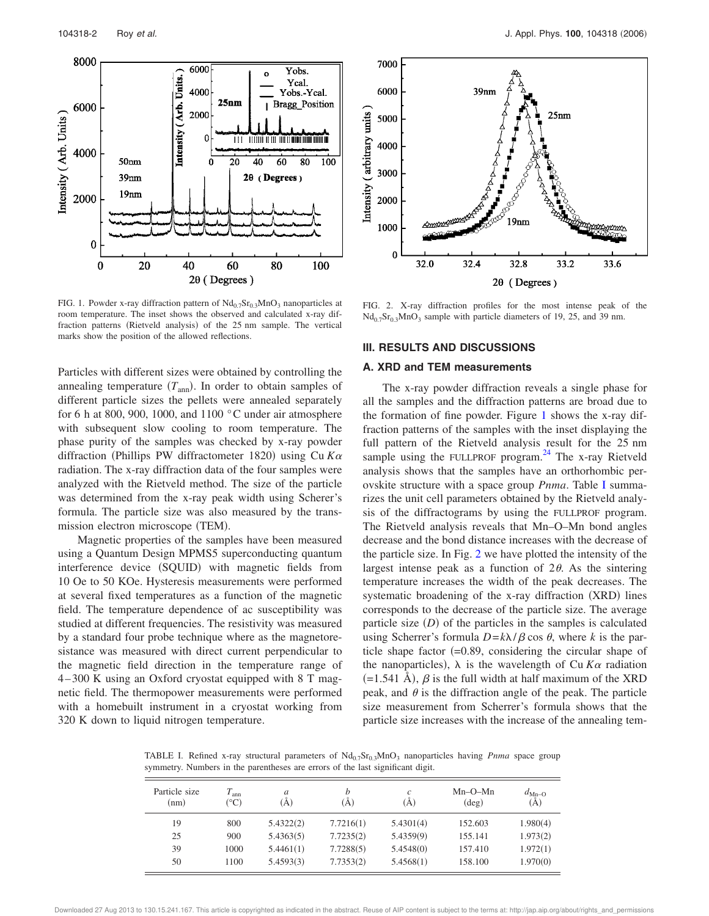

FIG. 1. Powder x-ray diffraction pattern of  $Nd_{0.7}Sr_{0.3}MnO_3$  nanoparticles at room temperature. The inset shows the observed and calculated x-ray diffraction patterns (Rietveld analysis) of the 25 nm sample. The vertical marks show the position of the allowed reflections.

Particles with different sizes were obtained by controlling the annealing temperature  $(T_{\text{ann}})$ . In order to obtain samples of different particle sizes the pellets were annealed separately for 6 h at 800, 900, 1000, and 1100  $\degree$ C under air atmosphere with subsequent slow cooling to room temperature. The phase purity of the samples was checked by x-ray powder diffraction (Phillips PW diffractometer 1820) using Cu  $K\alpha$ radiation. The x-ray diffraction data of the four samples were analyzed with the Rietveld method. The size of the particle was determined from the x-ray peak width using Scherer's formula. The particle size was also measured by the transmission electron microscope (TEM).

Magnetic properties of the samples have been measured using a Quantum Design MPMS5 superconducting quantum interference device (SQUID) with magnetic fields from 10 Oe to 50 KOe. Hysteresis measurements were performed at several fixed temperatures as a function of the magnetic field. The temperature dependence of ac susceptibility was studied at different frequencies. The resistivity was measured by a standard four probe technique where as the magnetoresistance was measured with direct current perpendicular to the magnetic field direction in the temperature range of 4–300 K using an Oxford cryostat equipped with 8 T magnetic field. The thermopower measurements were performed with a homebuilt instrument in a cryostat working from 320 K down to liquid nitrogen temperature.



FIG. 2. X-ray diffraction profiles for the most intense peak of the  $Nd_{0.7}Sr_{0.3}MnO_3$  sample with particle diameters of 19, 25, and 39 nm.

#### **III. RESULTS AND DISCUSSIONS**

#### **A. XRD and TEM measurements**

The x-ray powder diffraction reveals a single phase for all the samples and the diffraction patterns are broad due to the formation of fine powder. Figure 1 shows the x-ray diffraction patterns of the samples with the inset displaying the full pattern of the Rietveld analysis result for the 25 nm sample using the FULLPROF program.<sup>24</sup> The x-ray Rietveld analysis shows that the samples have an orthorhombic perovskite structure with a space group *Pnma*. Table I summarizes the unit cell parameters obtained by the Rietveld analysis of the diffractograms by using the FULLPROF program. The Rietveld analysis reveals that Mn–O–Mn bond angles decrease and the bond distance increases with the decrease of the particle size. In Fig. 2 we have plotted the intensity of the largest intense peak as a function of  $2\theta$ . As the sintering temperature increases the width of the peak decreases. The systematic broadening of the x-ray diffraction (XRD) lines corresponds to the decrease of the particle size. The average particle size  $(D)$  of the particles in the samples is calculated using Scherrer's formula  $D = k\lambda/\beta \cos \theta$ , where *k* is the particle shape factor  $(=0.89,$  considering the circular shape of the nanoparticles),  $\lambda$  is the wavelength of Cu  $K\alpha$  radiation  $(=1.541 \text{ Å})$ ,  $\beta$  is the full width at half maximum of the XRD peak, and  $\theta$  is the diffraction angle of the peak. The particle size measurement from Scherrer's formula shows that the particle size increases with the increase of the annealing tem-

TABLE I. Refined x-ray structural parameters of  $Nd_{0.7}Sr_{0.3}MnO_3$  nanoparticles having *Pnma* space group symmetry. Numbers in the parentheses are errors of the last significant digit.

| Particle size<br>(nm) | $T_{\rm ann}$<br>$(^\circ C)$ | a<br>A)   | h<br>A)   | $\epsilon$<br>(Å) | $Mn-O-Mn$<br>$(\text{deg})$ | $d_{\text{Mn-O}}$<br>(Å) |
|-----------------------|-------------------------------|-----------|-----------|-------------------|-----------------------------|--------------------------|
| 19                    | 800                           | 5.4322(2) | 7.7216(1) | 5.4301(4)         | 152.603                     | 1.980(4)                 |
| 25                    | 900                           | 5.4363(5) | 7.7235(2) | 5.4359(9)         | 155.141                     | 1.973(2)                 |
| 39                    | 1000                          | 5.4461(1) | 7.7288(5) | 5.4548(0)         | 157.410                     | 1.972(1)                 |
| 50                    | 1100                          | 5.4593(3) | 7.7353(2) | 5.4568(1)         | 158.100                     | 1.970(0)                 |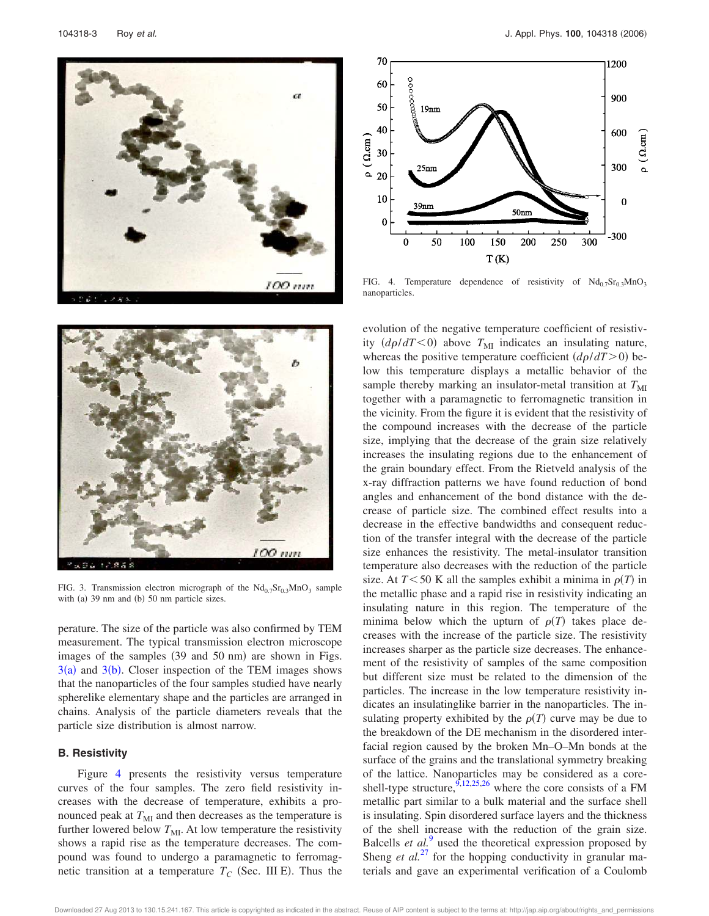



FIG. 4. Temperature dependence of resistivity of  $Nd_{0.7}Sr_{0.3}MnO_3$ nanoparticles.



FIG. 3. Transmission electron micrograph of the  $Nd_{0.7}Sr_{0.3}MnO_3$  sample with (a)  $39 \text{ nm}$  and (b)  $50 \text{ nm}$  particle sizes.

perature. The size of the particle was also confirmed by TEM measurement. The typical transmission electron microscope images of the samples (39 and 50 nm) are shown in Figs.  $3(a)$  and  $3(b)$ . Closer inspection of the TEM images shows that the nanoparticles of the four samples studied have nearly spherelike elementary shape and the particles are arranged in chains. Analysis of the particle diameters reveals that the particle size distribution is almost narrow.

#### **B. Resistivity**

Figure 4 presents the resistivity versus temperature curves of the four samples. The zero field resistivity increases with the decrease of temperature, exhibits a pronounced peak at  $T<sub>MI</sub>$  and then decreases as the temperature is further lowered below  $T_{\text{MI}}$ . At low temperature the resistivity shows a rapid rise as the temperature decreases. The compound was found to undergo a paramagnetic to ferromagnetic transition at a temperature  $T_C$  (Sec. III E). Thus the

evolution of the negative temperature coefficient of resistivity  $(d\rho/dT \le 0)$  above  $T<sub>MI</sub>$  indicates an insulating nature, whereas the positive temperature coefficient  $\left(\frac{d\rho}{dT} > 0\right)$  below this temperature displays a metallic behavior of the sample thereby marking an insulator-metal transition at  $T<sub>MI</sub>$ together with a paramagnetic to ferromagnetic transition in the vicinity. From the figure it is evident that the resistivity of the compound increases with the decrease of the particle size, implying that the decrease of the grain size relatively increases the insulating regions due to the enhancement of the grain boundary effect. From the Rietveld analysis of the x-ray diffraction patterns we have found reduction of bond angles and enhancement of the bond distance with the decrease of particle size. The combined effect results into a decrease in the effective bandwidths and consequent reduction of the transfer integral with the decrease of the particle size enhances the resistivity. The metal-insulator transition temperature also decreases with the reduction of the particle size. At  $T \leq 50$  K all the samples exhibit a minima in  $\rho(T)$  in the metallic phase and a rapid rise in resistivity indicating an insulating nature in this region. The temperature of the minima below which the upturn of  $\rho(T)$  takes place decreases with the increase of the particle size. The resistivity increases sharper as the particle size decreases. The enhancement of the resistivity of samples of the same composition but different size must be related to the dimension of the particles. The increase in the low temperature resistivity indicates an insulatinglike barrier in the nanoparticles. The insulating property exhibited by the  $\rho(T)$  curve may be due to the breakdown of the DE mechanism in the disordered interfacial region caused by the broken Mn–O–Mn bonds at the surface of the grains and the translational symmetry breaking of the lattice. Nanoparticles may be considered as a coreshell-type structure,  $9,12,25,26$  where the core consists of a FM metallic part similar to a bulk material and the surface shell is insulating. Spin disordered surface layers and the thickness of the shell increase with the reduction of the grain size. Balcells *et al.*<sup>9</sup> used the theoretical expression proposed by Sheng *et al.*<sup>27</sup> for the hopping conductivity in granular materials and gave an experimental verification of a Coulomb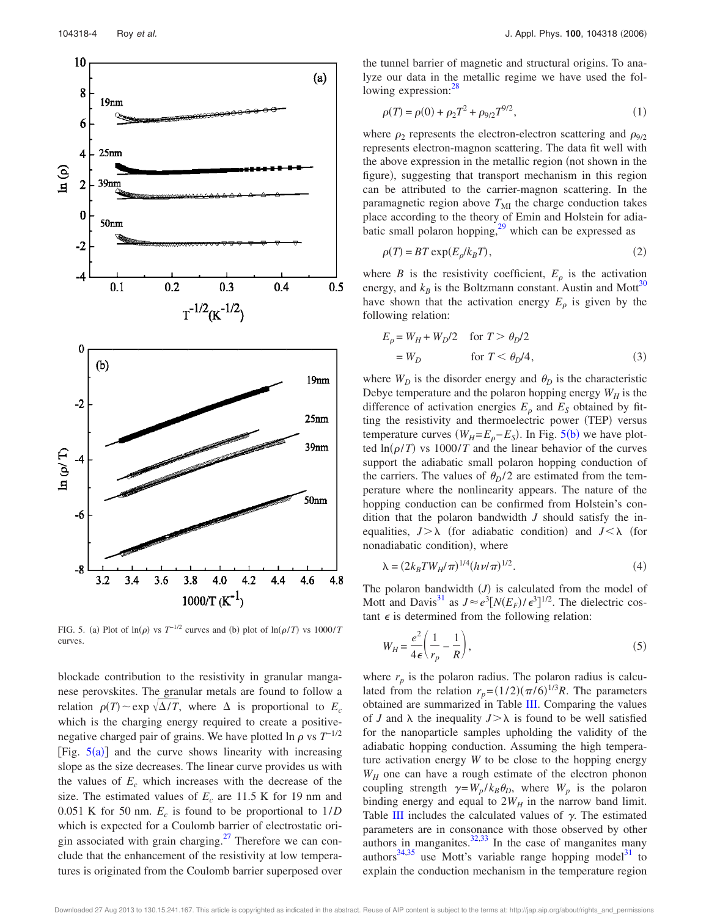

FIG. 5. (a) Plot of  $\ln(\rho)$  vs  $T^{-1/2}$  curves and (b) plot of  $\ln(\rho/T)$  vs  $1000/T$ curves.

blockade contribution to the resistivity in granular manganese perovskites. The granular metals are found to follow a relation  $\rho(T) \sim \exp \sqrt{\Delta/T}$ , where  $\Delta$  is proportional to  $E_c$ which is the charging energy required to create a positivenegative charged pair of grains. We have plotted ln  $\rho$  vs  $T^{-1/2}$ [Fig.  $5(a)$ ] and the curve shows linearity with increasing slope as the size decreases. The linear curve provides us with the values of  $E_c$  which increases with the decrease of the size. The estimated values of  $E_c$  are 11.5 K for 19 nm and 0.051 K for 50 nm.  $E_c$  is found to be proportional to  $1/D$ which is expected for a Coulomb barrier of electrostatic origin associated with grain charging. $^{27}$  Therefore we can conclude that the enhancement of the resistivity at low temperatures is originated from the Coulomb barrier superposed over the tunnel barrier of magnetic and structural origins. To analyze our data in the metallic regime we have used the following expression:<sup>28</sup>

$$
\rho(T) = \rho(0) + \rho_2 T^2 + \rho_{9/2} T^{9/2},\tag{1}
$$

where  $\rho_2$  represents the electron-electron scattering and  $\rho_{9/2}$ represents electron-magnon scattering. The data fit well with the above expression in the metallic region (not shown in the figure), suggesting that transport mechanism in this region can be attributed to the carrier-magnon scattering. In the paramagnetic region above  $T<sub>MI</sub>$  the charge conduction takes place according to the theory of Emin and Holstein for adiabatic small polaron hopping, $29$  which can be expressed as

$$
\rho(T) = BT \exp(E_{\rho}/k_B T),\tag{2}
$$

where *B* is the resistivity coefficient,  $E<sub>\rho</sub>$  is the activation energy, and  $k_B$  is the Boltzmann constant. Austin and Mott<sup>30</sup> have shown that the activation energy  $E_{\rho}$  is given by the following relation:

$$
E_p = W_H + W_D/2 \quad \text{for } T > \theta_D/2
$$
  
=  $W_D$  for  $T < \theta_D/4$ , (3)

where  $W_D$  is the disorder energy and  $\theta_D$  is the characteristic Debye temperature and the polaron hopping energy  $W_H$  is the difference of activation energies  $E<sub>o</sub>$  and  $E<sub>S</sub>$  obtained by fitting the resistivity and thermoelectric power (TEP) versus temperature curves  $(W_H = E_\rho - E_S)$ . In Fig. 5(b) we have plotted  $\ln(\rho/T)$  vs 1000/*T* and the linear behavior of the curves support the adiabatic small polaron hopping conduction of the carriers. The values of  $\theta_D/2$  are estimated from the temperature where the nonlinearity appears. The nature of the hopping conduction can be confirmed from Holstein's condition that the polaron bandwidth *J* should satisfy the inequalities,  $J > \lambda$  (for adiabatic condition) and  $J < \lambda$  (for nonadiabatic condition), where

$$
\lambda = (2k_B T W_H / \pi)^{1/4} (h\nu/\pi)^{1/2}.
$$
 (4)

The polaron bandwidth  $(J)$  is calculated from the model of Mott and Davis<sup>31</sup> as  $J \approx e^3 [N(E_F)/\epsilon^3]^{1/2}$ . The dielectric costant  $\epsilon$  is determined from the following relation:

$$
W_H = \frac{e^2}{4\epsilon} \left( \frac{1}{r_p} - \frac{1}{R} \right),\tag{5}
$$

where  $r_p$  is the polaron radius. The polaron radius is calculated from the relation  $r_p = (1/2)(\pi/6)^{1/3}R$ . The parameters obtained are summarized in Table III. Comparing the values of *J* and  $\lambda$  the inequality  $J > \lambda$  is found to be well satisfied for the nanoparticle samples upholding the validity of the adiabatic hopping conduction. Assuming the high temperature activation energy *W* to be close to the hopping energy *W<sup>H</sup>* one can have a rough estimate of the electron phonon coupling strength  $\gamma = W_p / k_B \theta_D$ , where  $W_p$  is the polaron binding energy and equal to  $2W_H$  in the narrow band limit. Table III includes the calculated values of  $\gamma$ . The estimated parameters are in consonance with those observed by other authors in manganites. $32,33$  In the case of manganites many authors $34,35$  use Mott's variable range hopping model $31$  to explain the conduction mechanism in the temperature region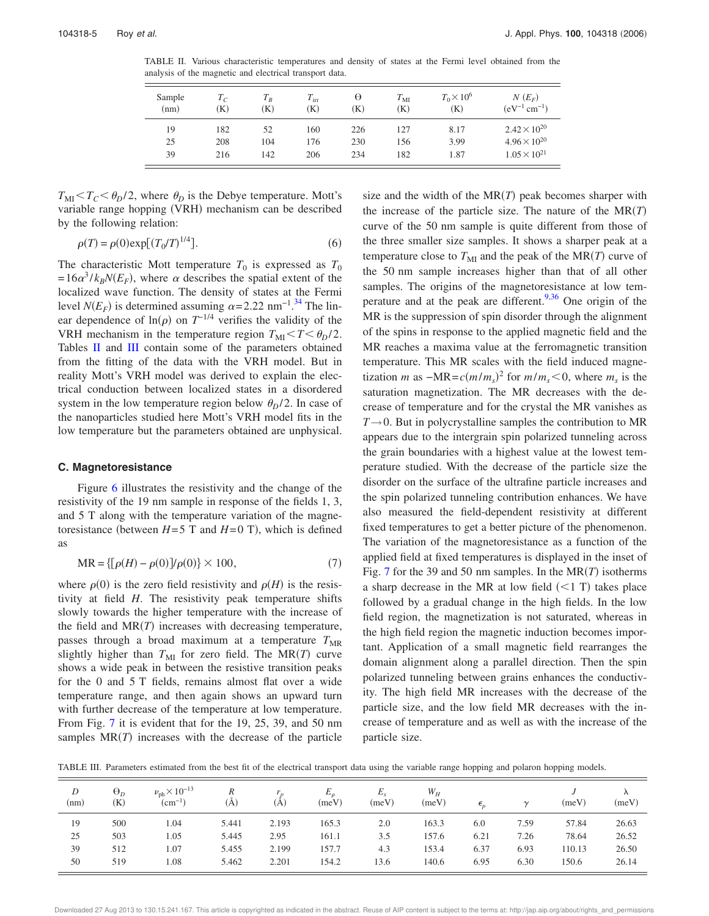TABLE II. Various characteristic temperatures and density of states at the Fermi level obtained from the analysis of the magnetic and electrical transport data.

| Sample<br>(nm) | $T_C$<br>$\bf K)$ | $T_R$<br>K) | $T_{\rm irr}$<br>(K) | Θ<br>$\bf K)$ | $T_{\rm MI}$<br>(K) | $T_0 \times 10^6$<br>(K) | $N(E_F)$<br>$(eV^{-1}$ cm <sup>-1</sup> ) |
|----------------|-------------------|-------------|----------------------|---------------|---------------------|--------------------------|-------------------------------------------|
| 19             | 182               | 52          | 160                  | 226           | 127                 | 8.17                     | $2.42 \times 10^{20}$                     |
| 25             | 208               | 104         | 176                  | 230           | 156                 | 3.99                     | $4.96 \times 10^{20}$                     |
| 39             | 216               | 142         | 206                  | 234           | 182                 | 1.87                     | $1.05 \times 10^{21}$                     |

 $T_{\text{MI}} < T_C < \theta_D/2$ , where  $\theta_D$  is the Debye temperature. Mott's variable range hopping (VRH) mechanism can be described by the following relation:

$$
\rho(T) = \rho(0) \exp[(T_0/T)^{1/4}].
$$
\n(6)

The characteristic Mott temperature  $T_0$  is expressed as  $T_0$  $=16\alpha^3/k_BN(E_F)$ , where  $\alpha$  describes the spatial extent of the localized wave function. The density of states at the Fermi level  $N(E_F)$  is determined assuming  $\alpha = 2.22$  nm<sup>-1</sup>.<sup>34</sup> The linear dependence of  $ln(\rho)$  on  $T^{-1/4}$  verifies the validity of the VRH mechanism in the temperature region  $T_{\text{MI}} < T < \theta_D/2$ . Tables II and III contain some of the parameters obtained from the fitting of the data with the VRH model. But in reality Mott's VRH model was derived to explain the electrical conduction between localized states in a disordered system in the low temperature region below  $\theta_p/2$ . In case of the nanoparticles studied here Mott's VRH model fits in the low temperature but the parameters obtained are unphysical.

#### **C. Magnetoresistance**

Figure 6 illustrates the resistivity and the change of the resistivity of the 19 nm sample in response of the fields 1, 3, and 5 T along with the temperature variation of the magnetoresistance (between  $H=5$  T and  $H=0$  T), which is defined as

$$
MR = \{ [\rho(H) - \rho(0)]/\rho(0) \} \times 100,\tag{7}
$$

where  $\rho(0)$  is the zero field resistivity and  $\rho(H)$  is the resistivity at field *H*. The resistivity peak temperature shifts slowly towards the higher temperature with the increase of the field and  $MR(T)$  increases with decreasing temperature, passes through a broad maximum at a temperature  $T<sub>MR</sub>$ slightly higher than  $T_{\text{MI}}$  for zero field. The MR(*T*) curve shows a wide peak in between the resistive transition peaks for the 0 and 5 T fields, remains almost flat over a wide temperature range, and then again shows an upward turn with further decrease of the temperature at low temperature. From Fig. 7 it is evident that for the 19, 25, 39, and 50 nm samples  $MR(T)$  increases with the decrease of the particle

size and the width of the  $MR(T)$  peak becomes sharper with the increase of the particle size. The nature of the  $MR(T)$ curve of the 50 nm sample is quite different from those of the three smaller size samples. It shows a sharper peak at a temperature close to  $T_{\text{MI}}$  and the peak of the  $\text{MR}(T)$  curve of the 50 nm sample increases higher than that of all other samples. The origins of the magnetoresistance at low temperature and at the peak are different.<sup>9,36</sup> One origin of the MR is the suppression of spin disorder through the alignment of the spins in response to the applied magnetic field and the MR reaches a maxima value at the ferromagnetic transition temperature. This MR scales with the field induced magnetization *m* as  $-MR = c(m/m<sub>s</sub>)<sup>2</sup>$  for  $m/m<sub>s</sub> < 0$ , where  $m<sub>s</sub>$  is the saturation magnetization. The MR decreases with the decrease of temperature and for the crystal the MR vanishes as  $T\rightarrow 0$ . But in polycrystalline samples the contribution to MR appears due to the intergrain spin polarized tunneling across the grain boundaries with a highest value at the lowest temperature studied. With the decrease of the particle size the disorder on the surface of the ultrafine particle increases and the spin polarized tunneling contribution enhances. We have also measured the field-dependent resistivity at different fixed temperatures to get a better picture of the phenomenon. The variation of the magnetoresistance as a function of the applied field at fixed temperatures is displayed in the inset of Fig. 7 for the 39 and 50 nm samples. In the  $MR(T)$  isotherms a sharp decrease in the MR at low field  $(<1 T)$  takes place followed by a gradual change in the high fields. In the low field region, the magnetization is not saturated, whereas in the high field region the magnetic induction becomes important. Application of a small magnetic field rearranges the domain alignment along a parallel direction. Then the spin polarized tunneling between grains enhances the conductivity. The high field MR increases with the decrease of the particle size, and the low field MR decreases with the increase of temperature and as well as with the increase of the particle size.

TABLE III. Parameters estimated from the best fit of the electrical transport data using the variable range hopping and polaron hopping models.

| D<br>(nm) | $\Theta_D$<br>(K) | $\nu_{\rm ph} \times 10^{-13}$<br>$(cm^{-1})$ | R<br>(A) | (A    | $E_{\rho}$<br>(meV) | $E_s$<br>(meV) | $W_H$<br>(meV) | $\epsilon_{\scriptscriptstyle n}$ | $\sim$ | (meV)  | $\Lambda$<br>(meV) |
|-----------|-------------------|-----------------------------------------------|----------|-------|---------------------|----------------|----------------|-----------------------------------|--------|--------|--------------------|
| 19        | 500               | 1.04                                          | 5.441    | 2.193 | 165.3               | 2.0            | 163.3          | 6.0                               | 7.59   | 57.84  | 26.63              |
| 25        | 503               | 1.05                                          | 5.445    | 2.95  | 161.1               | 3.5            | 157.6          | 6.21                              | 7.26   | 78.64  | 26.52              |
| 39        | 512               | 1.07                                          | 5.455    | 2.199 | 157.7               | 4.3            | 153.4          | 6.37                              | 6.93   | 110.13 | 26.50              |
| 50        | 519               | 1.08                                          | 5.462    | 2.201 | 154.2               | 13.6           | 140.6          | 6.95                              | 6.30   | 150.6  | 26.14              |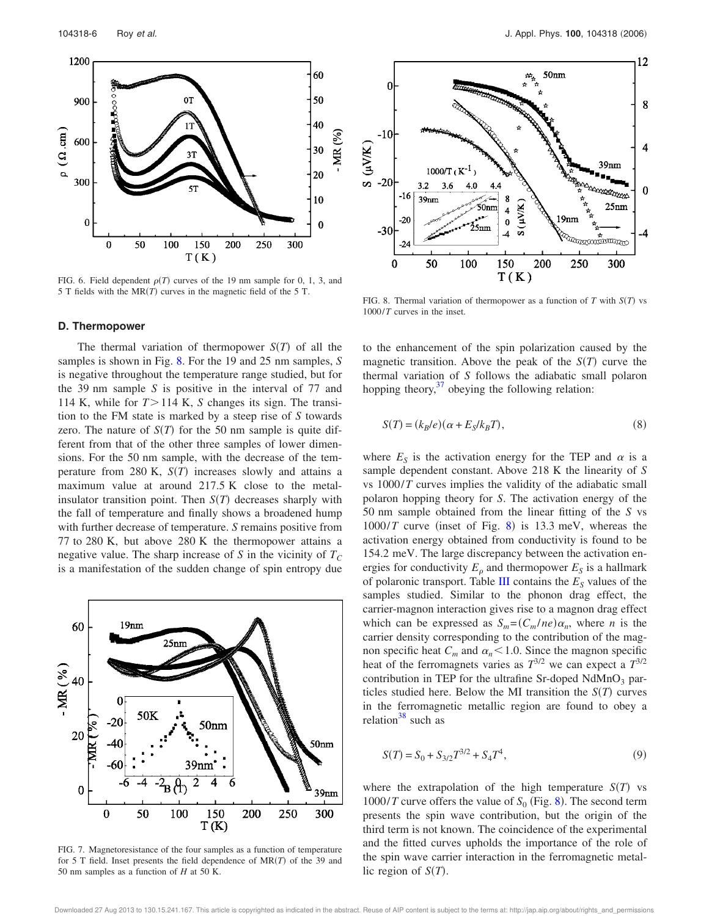

FIG. 6. Field dependent  $\rho(T)$  curves of the 19 nm sample for 0, 1, 3, and 5 T fields with the  $MR(T)$  curves in the magnetic field of the 5 T.

#### **D. Thermopower**

The thermal variation of thermopower  $S(T)$  of all the samples is shown in Fig. 8. For the 19 and 25 nm samples, *S* is negative throughout the temperature range studied, but for the 39 nm sample *S* is positive in the interval of 77 and 114 K, while for  $T > 114$  K, *S* changes its sign. The transition to the FM state is marked by a steep rise of *S* towards zero. The nature of  $S(T)$  for the 50 nm sample is quite different from that of the other three samples of lower dimensions. For the 50 nm sample, with the decrease of the temperature from  $280 \text{ K}$ ,  $S(T)$  increases slowly and attains a maximum value at around 217.5 K close to the metalinsulator transition point. Then  $S(T)$  decreases sharply with the fall of temperature and finally shows a broadened hump with further decrease of temperature. *S* remains positive from 77 to 280 K, but above 280 K the thermopower attains a negative value. The sharp increase of *S* in the vicinity of  $T_C$ is a manifestation of the sudden change of spin entropy due



FIG. 7. Magnetoresistance of the four samples as a function of temperature for 5 T field. Inset presents the field dependence of  $MR(T)$  of the 39 and 50 nm samples as a function of *H* at 50 K.



FIG. 8. Thermal variation of thermopower as a function of  $T$  with  $S(T)$  vs 1000/*T* curves in the inset.

to the enhancement of the spin polarization caused by the magnetic transition. Above the peak of the  $S(T)$  curve the thermal variation of *S* follows the adiabatic small polaron hopping theory, $37$  obeying the following relation:

$$
S(T) = (k_B/e)(\alpha + E_S/k_B T),
$$
\n(8)

where  $E<sub>S</sub>$  is the activation energy for the TEP and  $\alpha$  is a sample dependent constant. Above 218 K the linearity of *S* vs 1000/*T* curves implies the validity of the adiabatic small polaron hopping theory for *S*. The activation energy of the 50 nm sample obtained from the linear fitting of the *S* vs  $1000/T$  curve (inset of Fig. 8) is 13.3 meV, whereas the activation energy obtained from conductivity is found to be 154.2 meV. The large discrepancy between the activation energies for conductivity  $E_{\rho}$  and thermopower  $E_S$  is a hallmark of polaronic transport. Table III contains the  $E<sub>S</sub>$  values of the samples studied. Similar to the phonon drag effect, the carrier-magnon interaction gives rise to a magnon drag effect which can be expressed as  $S_m = (C_m / ne) \alpha_n$ , where *n* is the carrier density corresponding to the contribution of the magnon specific heat  $C_m$  and  $\alpha_n < 1.0$ . Since the magnon specific heat of the ferromagnets varies as  $T^{3/2}$  we can expect a  $T^{3/2}$ contribution in TEP for the ultrafine Sr-doped  $NdMnO<sub>3</sub>$  particles studied here. Below the MI transition the  $S(T)$  curves in the ferromagnetic metallic region are found to obey a relation $38$  such as

$$
S(T) = S_0 + S_{3/2}T^{3/2} + S_4T^4,
$$
\n(9)

where the extrapolation of the high temperature  $S(T)$  vs 1000/*T* curve offers the value of  $S_0$  (Fig. 8). The second term presents the spin wave contribution, but the origin of the third term is not known. The coincidence of the experimental and the fitted curves upholds the importance of the role of the spin wave carrier interaction in the ferromagnetic metallic region of  $S(T)$ .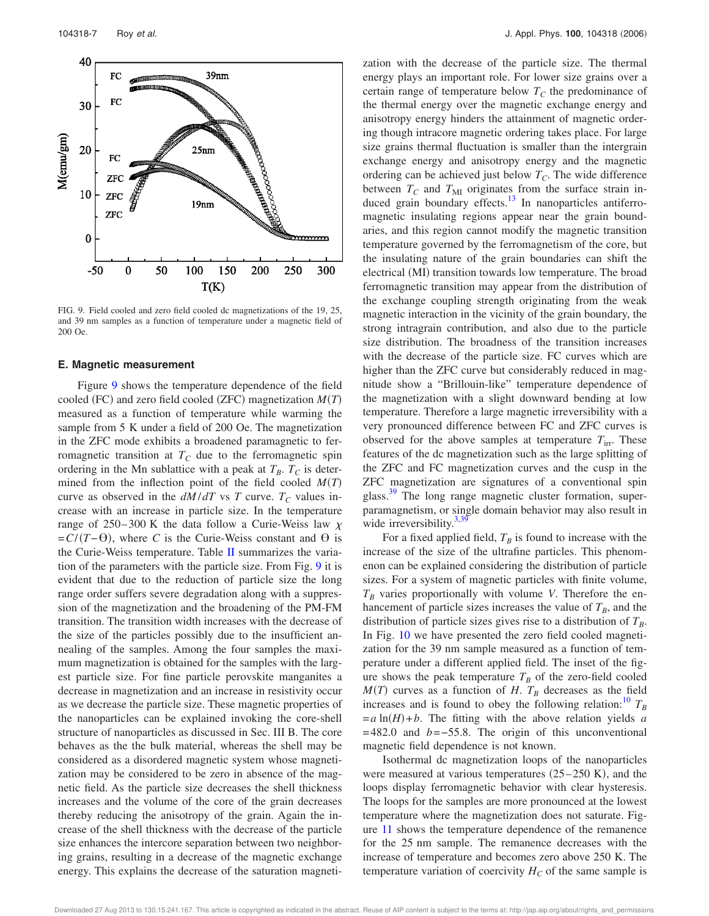

FIG. 9. Field cooled and zero field cooled dc magnetizations of the 19, 25, and 39 nm samples as a function of temperature under a magnetic field of 200 Oe.

#### **E. Magnetic measurement**

Figure 9 shows the temperature dependence of the field cooled (FC) and zero field cooled (ZFC) magnetization  $M(T)$ measured as a function of temperature while warming the sample from 5 K under a field of 200 Oe. The magnetization in the ZFC mode exhibits a broadened paramagnetic to ferromagnetic transition at  $T_C$  due to the ferromagnetic spin ordering in the Mn sublattice with a peak at  $T_B$ .  $T_C$  is determined from the inflection point of the field cooled  $M(T)$ curve as observed in the  $dM/dT$  vs *T* curve.  $T_c$  values increase with an increase in particle size. In the temperature range of 250–300 K the data follow a Curie-Weiss law  $\chi$  $= C/(T-\Theta)$ , where *C* is the Curie-Weiss constant and  $\Theta$  is the Curie-Weiss temperature. Table  $II$  summarizes the variation of the parameters with the particle size. From Fig. 9 it is evident that due to the reduction of particle size the long range order suffers severe degradation along with a suppression of the magnetization and the broadening of the PM-FM transition. The transition width increases with the decrease of the size of the particles possibly due to the insufficient annealing of the samples. Among the four samples the maximum magnetization is obtained for the samples with the largest particle size. For fine particle perovskite manganites a decrease in magnetization and an increase in resistivity occur as we decrease the particle size. These magnetic properties of the nanoparticles can be explained invoking the core-shell structure of nanoparticles as discussed in Sec. III B. The core behaves as the the bulk material, whereas the shell may be considered as a disordered magnetic system whose magnetization may be considered to be zero in absence of the magnetic field. As the particle size decreases the shell thickness increases and the volume of the core of the grain decreases thereby reducing the anisotropy of the grain. Again the increase of the shell thickness with the decrease of the particle size enhances the intercore separation between two neighboring grains, resulting in a decrease of the magnetic exchange energy. This explains the decrease of the saturation magnetization with the decrease of the particle size. The thermal energy plays an important role. For lower size grains over a certain range of temperature below  $T_c$  the predominance of the thermal energy over the magnetic exchange energy and anisotropy energy hinders the attainment of magnetic ordering though intracore magnetic ordering takes place. For large size grains thermal fluctuation is smaller than the intergrain exchange energy and anisotropy energy and the magnetic ordering can be achieved just below *TC*. The wide difference between  $T_C$  and  $T_M$  originates from the surface strain induced grain boundary effects.<sup>13</sup> In nanoparticles antiferromagnetic insulating regions appear near the grain boundaries, and this region cannot modify the magnetic transition temperature governed by the ferromagnetism of the core, but the insulating nature of the grain boundaries can shift the electrical (MI) transition towards low temperature. The broad ferromagnetic transition may appear from the distribution of the exchange coupling strength originating from the weak magnetic interaction in the vicinity of the grain boundary, the strong intragrain contribution, and also due to the particle size distribution. The broadness of the transition increases with the decrease of the particle size. FC curves which are higher than the ZFC curve but considerably reduced in magnitude show a "Brillouin-like" temperature dependence of the magnetization with a slight downward bending at low temperature. Therefore a large magnetic irreversibility with a very pronounced difference between FC and ZFC curves is observed for the above samples at temperature  $T_{irr}$ . These features of the dc magnetization such as the large splitting of the ZFC and FC magnetization curves and the cusp in the ZFC magnetization are signatures of a conventional spin glass.<sup>39</sup> The long range magnetic cluster formation, superparamagnetism, or single domain behavior may also result in wide irreversibility. $3,39$ 

For a fixed applied field,  $T_B$  is found to increase with the increase of the size of the ultrafine particles. This phenomenon can be explained considering the distribution of particle sizes. For a system of magnetic particles with finite volume,  $T_B$  varies proportionally with volume *V*. Therefore the enhancement of particle sizes increases the value of  $T_B$ , and the distribution of particle sizes gives rise to a distribution of *TB*. In Fig. 10 we have presented the zero field cooled magnetization for the 39 nm sample measured as a function of temperature under a different applied field. The inset of the figure shows the peak temperature  $T_B$  of the zero-field cooled  $M(T)$  curves as a function of *H*.  $T_B$  decreases as the field increases and is found to obey the following relation:<sup>10</sup>  $T_B$  $=a \ln(H) + b$ . The fitting with the above relation yields *a* =482.0 and *b*=−55.8. The origin of this unconventional magnetic field dependence is not known.

Isothermal dc magnetization loops of the nanoparticles were measured at various temperatures  $(25-250 \text{ K})$ , and the loops display ferromagnetic behavior with clear hysteresis. The loops for the samples are more pronounced at the lowest temperature where the magnetization does not saturate. Figure 11 shows the temperature dependence of the remanence for the 25 nm sample. The remanence decreases with the increase of temperature and becomes zero above 250 K. The temperature variation of coercivity  $H_C$  of the same sample is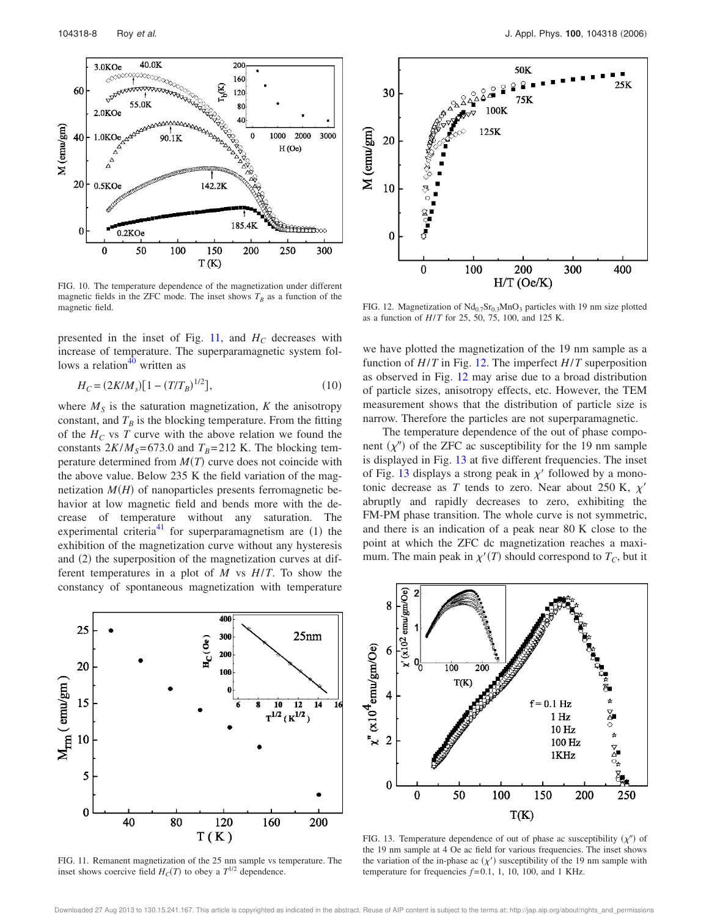

FIG. 10. The temperature dependence of the magnetization under different magnetic fields in the ZFC mode. The inset shows  $T_B$  as a function of the magnetic field.

presented in the inset of Fig. 11, and  $H_C$  decreases with increase of temperature. The superparamagnetic system follows a relation $40$  written as

$$
H_C = (2K/M_s)[1 - (T/T_B)^{1/2}],\tag{10}
$$

where  $M<sub>S</sub>$  is the saturation magnetization,  $K$  the anisotropy constant, and  $T_B$  is the blocking temperature. From the fitting of the  $H_C$  vs *T* curve with the above relation we found the constants  $2K/M_s = 673.0$  and  $T_B = 212$  K. The blocking temperature determined from  $M(T)$  curve does not coincide with the above value. Below 235 K the field variation of the magnetization  $M(H)$  of nanoparticles presents ferromagnetic behavior at low magnetic field and bends more with the decrease of temperature without any saturation. The experimental criteria<sup>41</sup> for superparamagnetism are  $(1)$  the exhibition of the magnetization curve without any hysteresis and (2) the superposition of the magnetization curves at different temperatures in a plot of *M* vs *H*/*T*. To show the constancy of spontaneous magnetization with temperature



FIG. 12. Magnetization of  $Nd_{0.7}Sr_{0.3}MnO_3$  particles with 19 nm size plotted as a function of *H*/*T* for 25, 50, 75, 100, and 125 K.

we have plotted the magnetization of the 19 nm sample as a function of *H*/*T* in Fig. 12. The imperfect *H*/*T* superposition as observed in Fig. 12 may arise due to a broad distribution of particle sizes, anisotropy effects, etc. However, the TEM measurement shows that the distribution of particle size is narrow. Therefore the particles are not superparamagnetic.

The temperature dependence of the out of phase component  $(\chi'')$  of the ZFC ac susceptibility for the 19 nm sample is displayed in Fig. 13 at five different frequencies. The inset of Fig. 13 displays a strong peak in  $\chi'$  followed by a monotonic decrease as *T* tends to zero. Near about 250 K,  $\chi'$ abruptly and rapidly decreases to zero, exhibiting the FM-PM phase transition. The whole curve is not symmetric, and there is an indication of a peak near 80 K close to the point at which the ZFC dc magnetization reaches a maximum. The main peak in  $\chi'(T)$  should correspond to  $T_C$ , but it



FIG. 11. Remanent magnetization of the 25 nm sample vs temperature. The inset shows coercive field  $H_C(T)$  to obey a  $T^{1/2}$  dependence.



FIG. 13. Temperature dependence of out of phase ac susceptibility  $(\chi'')$  of the 19 nm sample at 4 Oe ac field for various frequencies. The inset shows the variation of the in-phase ac  $(\chi')$  susceptibility of the 19 nm sample with temperature for frequencies  $f=0.1$ , 1, 10, 100, and 1 KHz.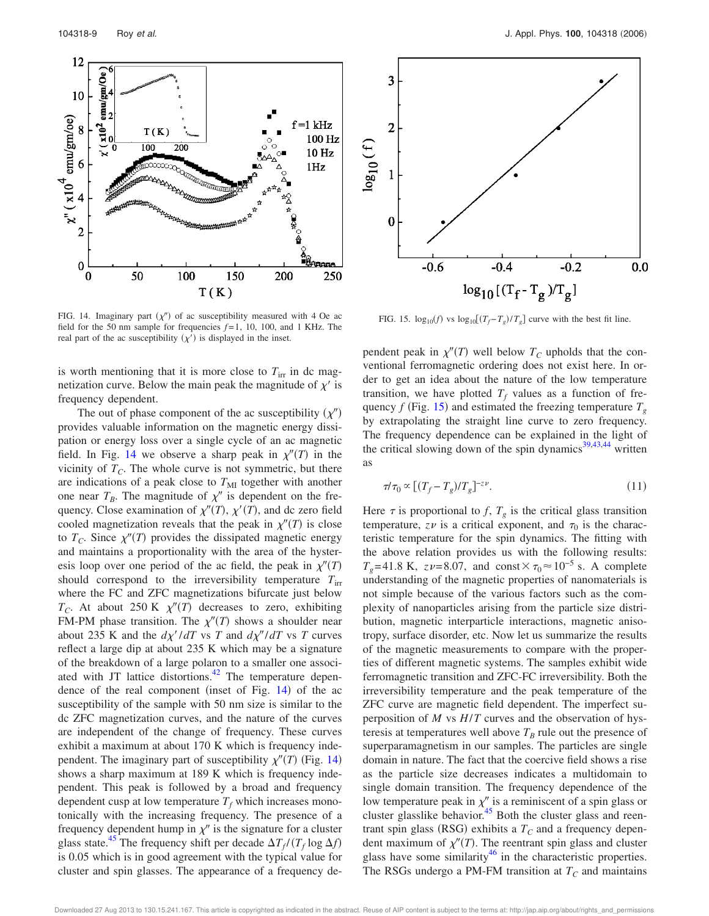



field for the 50 nm sample for frequencies  $f=1$ , 10, 100, and 1 KHz. The FIG. 15.  $\log_{10}(f)$  vs  $\log_{10}[(T_f-T_g)/T_g]$  curve with the best fit line.

is worth mentioning that it is more close to  $T_{irr}$  in dc magnetization curve. Below the main peak the magnitude of  $\chi'$  is

real part of the ac susceptibility  $(\chi')$  is displayed in the inset.

frequency dependent. The out of phase component of the ac susceptibility  $(\chi'')$ provides valuable information on the magnetic energy dissipation or energy loss over a single cycle of an ac magnetic field. In Fig. 14 we observe a sharp peak in  $\chi''(T)$  in the vicinity of  $T_C$ . The whole curve is not symmetric, but there are indications of a peak close to  $T<sub>MI</sub>$  together with another one near  $T_B$ . The magnitude of  $\chi''$  is dependent on the frequency. Close examination of  $\chi''(T)$ ,  $\chi'(T)$ , and dc zero field cooled magnetization reveals that the peak in  $\chi''(T)$  is close to  $T_c$ . Since  $\chi''(T)$  provides the dissipated magnetic energy and maintains a proportionality with the area of the hysteresis loop over one period of the ac field, the peak in  $\chi''(T)$ should correspond to the irreversibility temperature  $T_{irr}$ where the FC and ZFC magnetizations bifurcate just below  $T_C$ . At about 250 K  $\chi''(T)$  decreases to zero, exhibiting FM-PM phase transition. The  $\chi''(T)$  shows a shoulder near about 235 K and the  $d\chi'/dT$  vs *T* and  $d\chi''/dT$  vs *T* curves reflect a large dip at about 235 K which may be a signature of the breakdown of a large polaron to a smaller one associated with JT lattice distortions. $42$  The temperature dependence of the real component (inset of Fig. 14) of the ac susceptibility of the sample with 50 nm size is similar to the dc ZFC magnetization curves, and the nature of the curves are independent of the change of frequency. These curves exhibit a maximum at about 170 K which is frequency independent. The imaginary part of susceptibility  $\chi''(T)$  (Fig. 14) shows a sharp maximum at 189 K which is frequency independent. This peak is followed by a broad and frequency dependent cusp at low temperature  $T_f$  which increases monotonically with the increasing frequency. The presence of a frequency dependent hump in  $\chi''$  is the signature for a cluster glass state.<sup>45</sup> The frequency shift per decade  $\Delta T_f / (T_f \log \Delta f)$ is 0.05 which is in good agreement with the typical value for cluster and spin glasses. The appearance of a frequency de-

pendent peak in  $\chi''(T)$  well below  $T_c$  upholds that the conventional ferromagnetic ordering does not exist here. In order to get an idea about the nature of the low temperature transition, we have plotted  $T_f$  values as a function of frequency  $f$  (Fig. 15) and estimated the freezing temperature  $T_g$ by extrapolating the straight line curve to zero frequency. The frequency dependence can be explained in the light of the critical slowing down of the spin dynamics<sup>39,43,44</sup> written as

$$
\tau/\tau_0 \propto \left[ (T_f - T_g)/T_g \right]^{-z\nu} . \tag{11}
$$

Here  $\tau$  is proportional to *f*,  $T_g$  is the critical glass transition temperature,  $z\nu$  is a critical exponent, and  $\tau_0$  is the characteristic temperature for the spin dynamics. The fitting with the above relation provides us with the following results:  $T_g$ =41.8 K, *z* $\nu$ =8.07, and const $\times \tau_0 \approx 10^{-5}$  s. A complete understanding of the magnetic properties of nanomaterials is not simple because of the various factors such as the complexity of nanoparticles arising from the particle size distribution, magnetic interparticle interactions, magnetic anisotropy, surface disorder, etc. Now let us summarize the results of the magnetic measurements to compare with the properties of different magnetic systems. The samples exhibit wide ferromagnetic transition and ZFC-FC irreversibility. Both the irreversibility temperature and the peak temperature of the ZFC curve are magnetic field dependent. The imperfect superposition of *M* vs *H*/*T* curves and the observation of hysteresis at temperatures well above  $T_B$  rule out the presence of superparamagnetism in our samples. The particles are single domain in nature. The fact that the coercive field shows a rise as the particle size decreases indicates a multidomain to single domain transition. The frequency dependence of the low temperature peak in  $\chi''$  is a reminiscent of a spin glass or cluster glasslike behavior.<sup>45</sup> Both the cluster glass and reentrant spin glass (RSG) exhibits a  $T_C$  and a frequency dependent maximum of  $\chi''(T)$ . The reentrant spin glass and cluster glass have some similarity<sup>46</sup> in the characteristic properties. The RSGs undergo a PM-FM transition at  $T_c$  and maintains